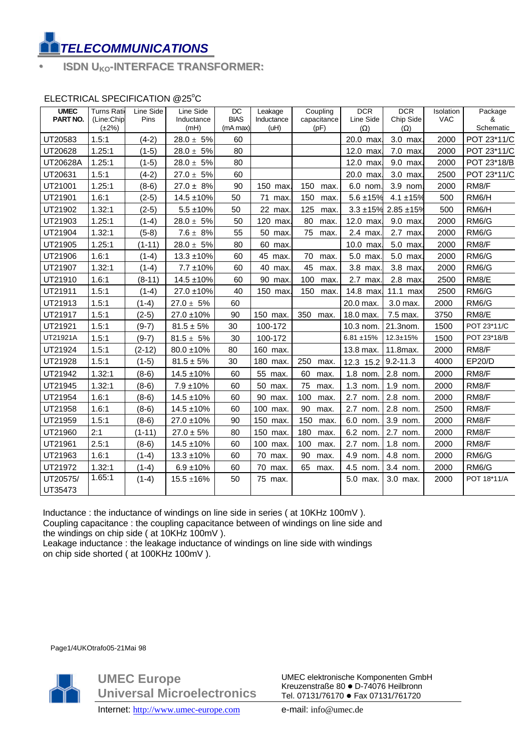## *TELECOMMUNICATIONS*

• **ISDN UKO-INTERFACE TRANSFORMER:**

## ELECTRICAL SPECIFICATION @25°C

| <b>UMEC</b><br><b>PART NO.</b> | <b>Turns Ratio</b><br>(Line:Chip | Line Side<br>Pins | Line Side<br>Inductance | DC<br><b>BIAS</b> | Leakage<br>Inductance | Coupling<br>capacitance | <b>DCR</b><br>Line Side | <b>DCR</b><br>Chip Side | Isolation<br><b>VAC</b> | Package<br>&       |
|--------------------------------|----------------------------------|-------------------|-------------------------|-------------------|-----------------------|-------------------------|-------------------------|-------------------------|-------------------------|--------------------|
|                                | $(\pm 2\%)$                      |                   | (mH)                    | (mA max)          | (uH)                  | (pF)                    | $(\Omega)$              | $(\Omega)$              |                         | Schematic          |
| UT20583                        | 1.5:1                            | $(4-2)$           | $28.0 \pm 5\%$          | 60                |                       |                         | 20.0 max.               | 3.0 max.                | 2000                    | POT 23*11/C        |
| UT20628                        | 1.25:1                           | $(1-5)$           | $28.0 \pm 5\%$          | 80                |                       |                         | 12.0 max.               | 7.0 max.                | 2000                    | POT 23*11/C        |
| UT20628A                       | 1.25:1                           | $(1-5)$           | $28.0 \pm 5\%$          | 80                |                       |                         | $12.0$ max              | 9.0 max                 | 2000                    | POT 23*18/B        |
| UT20631                        | 1.5:1                            | $(4-2)$           | $27.0 \pm 5\%$          | 60                |                       |                         | 20.0 max                | 3.0 max.                | 2500                    | POT 23*11/C        |
| UT21001                        | 1.25:1                           | $(8-6)$           | $27.0 \pm 8\%$          | 90                | 150 max.              | 150<br>max.             | 6.0 nom.                | 3.9 nom.                | 2000                    | RM8/F              |
| UT21901                        | 1.6:1                            | $(2-5)$           | $14.5 \pm 10\%$         | 50                | 71<br>max.            | 150<br>max.             | $5.6 + 15%$             | $4.1 \pm 15\%$          | 500                     | RM6/H              |
| UT21902                        | 1.32:1                           | $(2-5)$           | $5.5 \pm 10\%$          | 50                | 22 max                | 125<br>max.             | $3.3 + 15%$             | $2.85 + 15%$            | 500                     | RM6/H              |
| UT21903                        | 1.25:1                           | $(1-4)$           | $28.0 \pm\ 5\%$         | 50                | 120<br>max            | 80<br>max.              | 12.0 max.               | 9.0 max.                | 2000                    | RM <sub>6</sub> /G |
| UT21904                        | 1.32:1                           | $(5-8)$           | $7.6 \pm 8\%$           | 55                | 50 max.               | 75<br>max.              | 2.4 max.                | 2.7 max.                | 2000                    | RM6/G              |
| UT21905                        | 1.25:1                           | $(1 - 11)$        | $28.0 \pm\ 5\%$         | 80                | 60 max.               |                         | 10.0 max                | 5.0 max.                | 2000                    | RM8/F              |
| UT21906                        | 1.6:1                            | $(1-4)$           | $13.3 \pm 10\%$         | 60                | 45 max.               | 70<br>max.              | 5.0 max.                | 5.0 max.                | 2000                    | RM6/G              |
| UT21907                        | 1.32:1                           | $(1-4)$           | $7.7 \pm 10\%$          | 60                | 40<br>max.            | 45<br>max.              | 3.8 max.                | 3.8 max                 | 2000                    | RM6/G              |
| UT21910                        | 1.6:1                            | $(8-11)$          | $14.5 \pm 10\%$         | 60                | 90<br>max.            | 100<br>max.             | 2.7 max.                | 2.8 max.                | 2500                    | RM8/E              |
| UT21911                        | 1.5:1                            | $(1-4)$           | 27.0 ±10%               | 40                | 150 max.              | 150<br>max.             | 14.8 max.               | 11.1 max                | 2500                    | RM6/G              |
| UT21913                        | 1.5:1                            | $(1-4)$           | $27.0 \pm 5\%$          | 60                |                       |                         | 20.0 max.               | 3.0 max.                | 2000                    | RM6/G              |
| UT21917                        | 1.5:1                            | $(2-5)$           | $27.0 \pm 10\%$         | 90                | 150 max.              | 350 max.                | 18.0 max.               | 7.5 max.                | 3750                    | RM8/E              |
| UT21921                        | 1.5:1                            | $(9-7)$           | $81.5 \pm 5\%$          | 30                | 100-172               |                         | 10.3 nom.               | 21.3nom.                | 1500                    | POT 23*11/C        |
| UT21921A                       | 1.5:1                            | $(9-7)$           | $81.5 \pm 5\%$          | 30                | 100-172               |                         | $6.81 + 15%$            | $12.3 \pm 15%$          | 1500                    | POT 23*18/B        |
| UT21924                        | 1.5:1                            | $(2-12)$          | $80.0 \pm 10\%$         | 80                | 160 max.              |                         | 13.8 max.               | 11.8max.                | 2000                    | RM8/F              |
| UT21928                        | 1.5:1                            | $(1-5)$           | $81.5 \pm 5\%$          | 30                | 180 max.              | 250<br>max.             | 12.3 15.2               | $9.2 - 11.3$            | 4000                    | EP20/D             |
| UT21942                        | 1.32:1                           | $(8-6)$           | $14.5 \pm 10\%$         | 60                | 55 max.               | 60<br>max.              | 1.8 nom.                | 2.8 nom.                | 2000                    | RM8/F              |
| UT21945                        | 1.32:1                           | $(8-6)$           | $7.9 \pm 10\%$          | 60                | 50 max.               | 75<br>max.              | 1.3 nom.                | 1.9 nom.                | 2000                    | RM8/F              |
| UT21954                        | 1.6:1                            | $(8-6)$           | $14.5 \pm 10\%$         | 60                | 90 max.               | 100<br>max.             | 2.7 nom.                | 2.8 nom.                | 2000                    | RM8/F              |
| UT21958                        | 1.6:1                            | $(8-6)$           | $14.5 \pm 10\%$         | 60                | 100 max.              | 90<br>max.              | 2.7 nom.                | 2.8 nom.                | 2500                    | RM8/F              |
| UT21959                        | 1.5:1                            | $(8-6)$           | 27.0 ±10%               | 90                | 150 max.              | 150<br>max.             | 6.0 nom.                | 3.9 nom.                | 2000                    | RM <sub>8</sub> /F |
| UT21960                        | 2:1                              | $(1-11)$          | $27.0 \pm 5\%$          | 80                | 150 max.              | 180<br>max.             | 6.2 nom.                | 2.7 nom.                | 2000                    | RM8/F              |
| UT21961                        | 2.5:1                            | $(8-6)$           | $14.5 \pm 10\%$         | 60                | 100 max.              | 100<br>max.             | 2.7 nom.                | 1.8 nom.                | 2000                    | RM8/F              |
| UT21963                        | 1.6:1                            | $(1-4)$           | $13.3 \pm 10\%$         | 60                | 70 max.               | 90<br>max.              | 4.9 nom.                | 4.8 nom.                | 2000                    | RM <sub>6</sub> /G |
| UT21972                        | 1.32:1                           | $(1-4)$           | $6.9 \pm 10\%$          | 60                | 70 max.               | 65<br>max.              | 4.5 nom.                | 3.4 nom.                | 2000                    | RM <sub>6</sub> /G |
| UT20575/                       | 1.65:1                           | $(1-4)$           | $15.5 \pm 16\%$         | 50                | 75 max.               |                         | 5.0 max.                | 3.0 max.                | 2000                    | POT 18*11/A        |
| UT35473                        |                                  |                   |                         |                   |                       |                         |                         |                         |                         |                    |

 Inductance : the inductance of windings on line side in series ( at 10KHz 100mV ). Coupling capacitance : the coupling capacitance between of windings on line side and the windings on chip side ( at 10KHz 100mV ).

Leakage inductance : the leakage inductance of windings on line side with windings on chip side shorted ( at 100KHz 100mV ).

Page1/4UKOtrafo05-21Mai 98



**UMEC Europe Universal Microelectronics** UMEC elektronische Komponenten GmbH Kreuzenstraße 80 · D-74076 Heilbronn Tel. 07131/76170 · Fax 07131/761720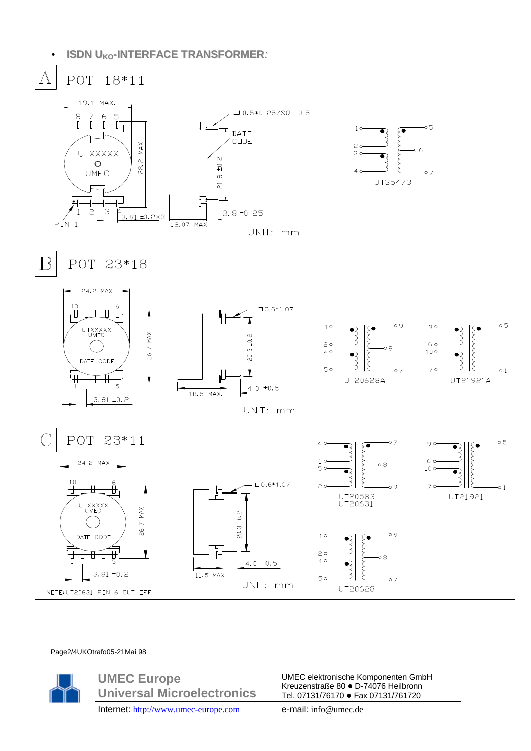• **ISDN UKO-INTERFACE TRANSFORMER***:*



## Page2/4UKOtrafo05-21Mai 98



**UMEC Europe Universal Microelectronics** UMEC elektronische Komponenten GmbH Kreuzenstraße 80 · D-74076 Heilbronn Tel. 07131/76170 · Fax 07131/761720

Internet: http://www.umec-europe.com e-mail: info@umec.de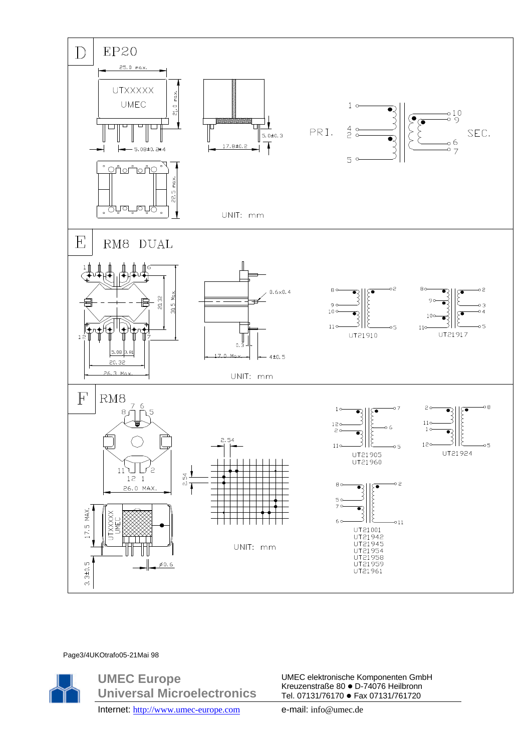

Page3/4UKOtrafo05-21Mai 98



**UMEC Europe Universal Microelectronics** UMEC elektronische Komponenten GmbH Kreuzenstraße 80 · D-74076 Heilbronn Tel. 07131/76170 · Fax 07131/761720

Internet: http://www.umec-europe.com e-mail: info@umec.de